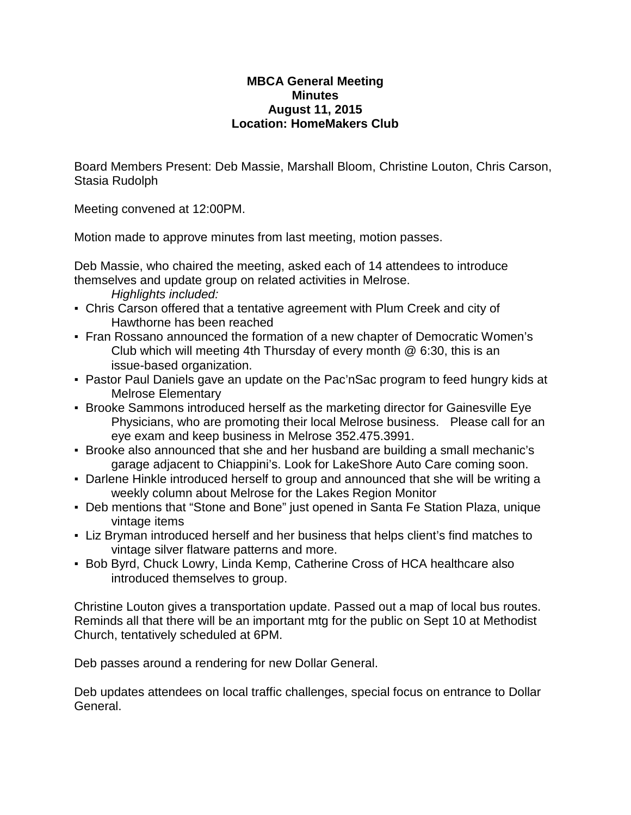## **MBCA General Meeting Minutes August 11, 2015 Location: HomeMakers Club**

Board Members Present: Deb Massie, Marshall Bloom, Christine Louton, Chris Carson, Stasia Rudolph

Meeting convened at 12:00PM.

Motion made to approve minutes from last meeting, motion passes.

Deb Massie, who chaired the meeting, asked each of 14 attendees to introduce themselves and update group on related activities in Melrose.

*Highlights included:*

- Chris Carson offered that a tentative agreement with Plum Creek and city of Hawthorne has been reached
- Fran Rossano announced the formation of a new chapter of Democratic Women's Club which will meeting 4th Thursday of every month @ 6:30, this is an issue-based organization.
- Pastor Paul Daniels gave an update on the Pac'nSac program to feed hungry kids at Melrose Elementary
- Brooke Sammons introduced herself as the marketing director for Gainesville Eye Physicians, who are promoting their local Melrose business. Please call for an eye exam and keep business in Melrose 352.475.3991.
- Brooke also announced that she and her husband are building a small mechanic's garage adjacent to Chiappini's. Look for LakeShore Auto Care coming soon.
- Darlene Hinkle introduced herself to group and announced that she will be writing a weekly column about Melrose for the Lakes Region Monitor
- Deb mentions that "Stone and Bone" just opened in Santa Fe Station Plaza, unique vintage items
- Liz Bryman introduced herself and her business that helps client's find matches to vintage silver flatware patterns and more.
- **Bob Byrd, Chuck Lowry, Linda Kemp, Catherine Cross of HCA healthcare also** introduced themselves to group.

Christine Louton gives a transportation update. Passed out a map of local bus routes. Reminds all that there will be an important mtg for the public on Sept 10 at Methodist Church, tentatively scheduled at 6PM.

Deb passes around a rendering for new Dollar General.

Deb updates attendees on local traffic challenges, special focus on entrance to Dollar General.